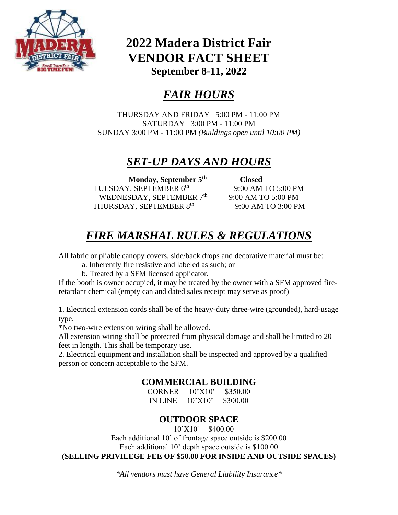

## **2022 Madera District Fair VENDOR FACT SHEET September 8-11, 2022**

# *FAIR HOURS*

THURSDAY AND FRIDAY 5:00 PM - 11:00 PM SATURDAY 3:00 PM - 11:00 PM SUNDAY 3:00 PM - 11:00 PM *(Buildings open until 10:00 PM)*

### *SET-UP DAYS AND HOURS*

**Monday, September 5th** TUESDAY, SEPTEMBER 6<sup>th</sup> WEDNESDAY, SEPTEMBER 7<sup>th</sup> THURSDAY, SEPTEMBER 8th

 **Closed** 9:00 AM TO 5:00 PM 9:00 AM TO 5:00 PM 9:00 AM TO 3:00 PM

# *FIRE MARSHAL RULES & REGULATIONS*

All fabric or pliable canopy covers, side/back drops and decorative material must be:

a. Inherently fire resistive and labeled as such; or

b. Treated by a SFM licensed applicator.

If the booth is owner occupied, it may be treated by the owner with a SFM approved fireretardant chemical (empty can and dated sales receipt may serve as proof)

1. Electrical extension cords shall be of the heavy-duty three-wire (grounded), hard-usage type.

\*No two-wire extension wiring shall be allowed.

All extension wiring shall be protected from physical damage and shall be limited to 20 feet in length. This shall be temporary use.

2. Electrical equipment and installation shall be inspected and approved by a qualified person or concern acceptable to the SFM.

#### **COMMERCIAL BUILDING**

CORNER 10'X10' \$350.00 IN LINE 10'X10' \$300.00

### **OUTDOOR SPACE**

10'X10' \$400.00

Each additional 10' of frontage space outside is \$200.00 Each additional 10' depth space outside is \$100.00 **(SELLING PRIVILEGE FEE OF \$50.00 FOR INSIDE AND OUTSIDE SPACES)**

*\*All vendors must have General Liability Insurance\**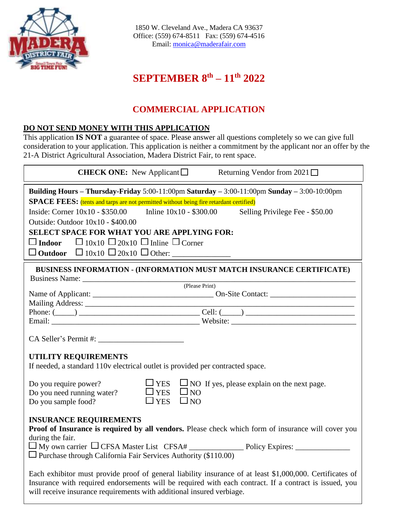

1850 W. Cleveland Ave., Madera CA 93637 Office: (559) 674-8511 Fax: (559) 674-4516 Email: [monica@maderafair.com](mailto:monica@maderafair.com)

### **SEPTEMBER 8 th – 11 th 2022**

#### **COMMERCIAL APPLICATION**

#### **DO NOT SEND MONEY WITH THIS APPLICATION**

This application **IS NOT** a guarantee of space. Please answer all questions completely so we can give full consideration to your application. This application is neither a commitment by the applicant nor an offer by the 21-A District Agricultural Association, Madera District Fair, to rent space.

| <b>CHECK ONE:</b> New Applicant $\Box$<br>Returning Vendor from $2021 \Box$                                                                                                                                                                                                                                                                                                                                                                             |
|---------------------------------------------------------------------------------------------------------------------------------------------------------------------------------------------------------------------------------------------------------------------------------------------------------------------------------------------------------------------------------------------------------------------------------------------------------|
| Building Hours - Thursday-Friday 5:00-11:00pm Saturday - 3:00-11:00pm Sunday - 3:00-10:00pm                                                                                                                                                                                                                                                                                                                                                             |
| SPACE FEES: (tents and tarps are not permitted without being fire retardant certified)                                                                                                                                                                                                                                                                                                                                                                  |
| Inside: Corner $10x10 - $350.00$ Inline $10x10 - $300.00$ Selling Privilege Fee - \$50.00                                                                                                                                                                                                                                                                                                                                                               |
| Outside: Outdoor 10x10 - \$400.00                                                                                                                                                                                                                                                                                                                                                                                                                       |
| SELECT SPACE FOR WHAT YOU ARE APPLYING FOR:                                                                                                                                                                                                                                                                                                                                                                                                             |
| $\Box$ 10x10 $\Box$ 20x10 $\Box$ Inline $\Box$ Corner<br>$\square$ Indoor                                                                                                                                                                                                                                                                                                                                                                               |
|                                                                                                                                                                                                                                                                                                                                                                                                                                                         |
|                                                                                                                                                                                                                                                                                                                                                                                                                                                         |
| BUSINESS INFORMATION - (INFORMATION MUST MATCH INSURANCE CERTIFICATE)                                                                                                                                                                                                                                                                                                                                                                                   |
|                                                                                                                                                                                                                                                                                                                                                                                                                                                         |
| (Please Print)                                                                                                                                                                                                                                                                                                                                                                                                                                          |
|                                                                                                                                                                                                                                                                                                                                                                                                                                                         |
|                                                                                                                                                                                                                                                                                                                                                                                                                                                         |
|                                                                                                                                                                                                                                                                                                                                                                                                                                                         |
| UTILITY REQUIREMENTS<br>If needed, a standard 110v electrical outlet is provided per contracted space.                                                                                                                                                                                                                                                                                                                                                  |
| $\Box$ YES $\Box$ NO If yes, please explain on the next page.<br>Do you require power?<br>$\Box$ YES $\Box$ NO<br>Do you need running water?<br>$\square_{\rm NO}$<br>$\square$ YES<br>Do you sample food?                                                                                                                                                                                                                                              |
| <b>INSURANCE REQUIREMENTS</b><br>Proof of Insurance is required by all vendors. Please check which form of insurance will cover you<br>during the fair.<br>$\Box$ Purchase through California Fair Services Authority (\$110.00)<br>Each exhibitor must provide proof of general liability insurance of at least \$1,000,000. Certificates of<br>Insurance with required endorsements will be required with each contract. If a contract is issued, you |
| will receive insurance requirements with additional insured verbiage.                                                                                                                                                                                                                                                                                                                                                                                   |